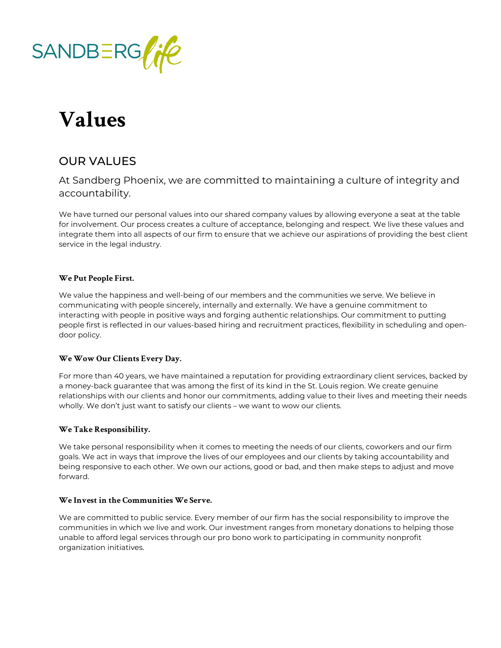

# **Values**

## OUR VALUES

### At Sandberg Phoenix, we are committed to maintaining a culture of integrity and accountability.

We have turned our personal values into our shared company values by allowing everyone a seat at the table for involvement. Our process creates a culture of acceptance, belonging and respect. We live these values and integrate them into all aspects of our firm to ensure that we achieve our aspirations of providing the best client service in the legal industry.

#### **We Put People First.**

We value the happiness and well-being of our members and the communities we serve. We believe in communicating with people sincerely, internally and externally. We have a genuine commitment to interacting with people in positive ways and forging authentic relationships. Our commitment to putting people first is reflected in our values-based hiring and recruitment practices, flexibility in scheduling and opendoor policy.

#### **We Wow Our Clients Every Day.**

For more than 40 years, we have maintained a reputation for providing extraordinary client services, backed by a money-back guarantee that was among the first of its kind in the St. Louis region. We create genuine relationships with our clients and honor our commitments, adding value to their lives and meeting their needs wholly. We don't just want to satisfy our clients – we want to wow our clients.

#### **We Take Responsibility.**

We take personal responsibility when it comes to meeting the needs of our clients, coworkers and our firm goals. We act in ways that improve the lives of our employees and our clients by taking accountability and being responsive to each other. We own our actions, good or bad, and then make steps to adjust and move forward.

#### **We Invest in the Communities We Serve.**

We are committed to public service. Every member of our firm has the social responsibility to improve the communities in which we live and work. Our investment ranges from monetary donations to helping those unable to afford legal services through our pro bono work to participating in community nonprofit organization initiatives.